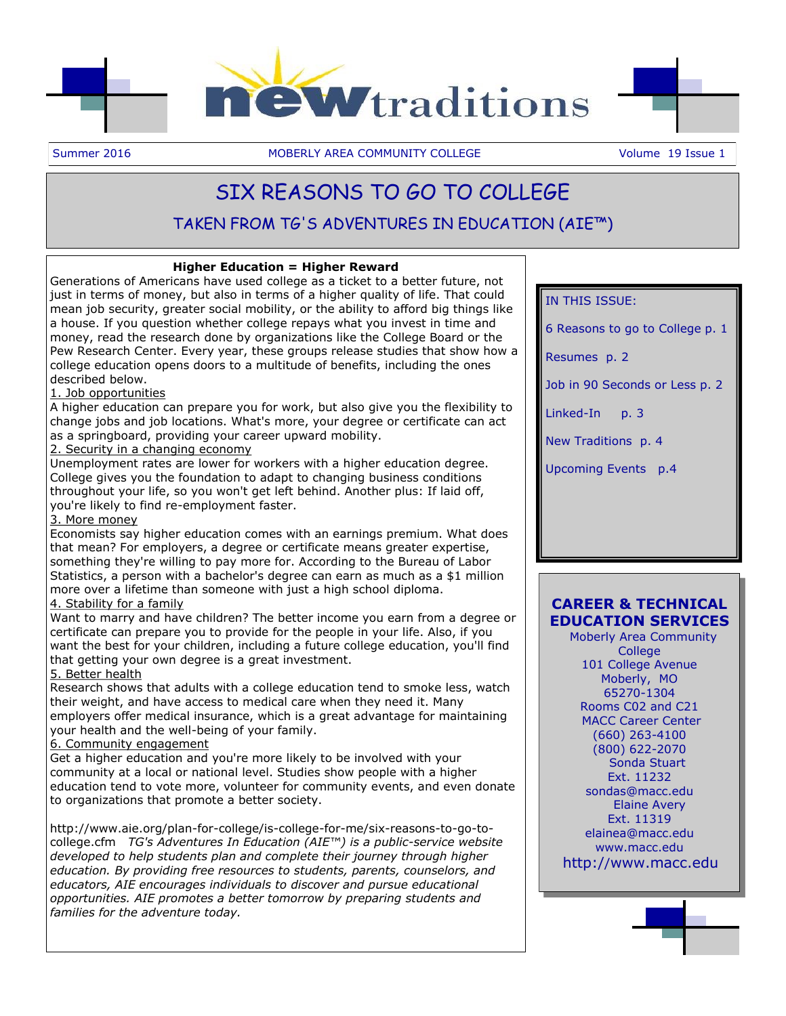

Summer 2016 **MOBERLY AREA COMMUNITY COLLEGE** Volume 19 Issue 1

# SIX REASONS TO GO TO COLLEGE

# TAKEN FROM TG'S ADVENTURES IN EDUCATION (AIE™)

## **Higher Education = Higher Reward**

Generations of Americans have used college as a ticket to a better future, not just in terms of money, but also in terms of a higher quality of life. That could mean job security, greater social mobility, or the ability to afford big things like a house. If you question whether college repays what you invest in time and money, read the research done by organizations like the College Board or the Pew Research Center. Every year, these groups release studies that show how a college education opens doors to a multitude of benefits, including the ones described below.

## 1. Job opportunities

A higher education can prepare you for work, but also give you the flexibility to change jobs and job locations. What's more, your degree or certificate can act as a springboard, providing your career upward mobility.

## 2. Security in a changing economy

Unemployment rates are lower for workers with a higher education degree. College gives you the foundation to adapt to changing business conditions throughout your life, so you won't get left behind. Another plus: If laid off, you're likely to find re-employment faster.

## 3. More money

Economists say higher education comes with an earnings premium. What does that mean? For employers, a degree or certificate means greater expertise, something they're willing to pay more for. According to the Bureau of Labor Statistics, a person with a bachelor's degree can earn as much as a \$1 million more over a lifetime than someone with just a high school diploma.

## 4. Stability for a family

Want to marry and have children? The better income you earn from a degree or certificate can prepare you to provide for the people in your life. Also, if you want the best for your children, including a future college education, you'll find that getting your own degree is a great investment.

## 5. Better health

Research shows that adults with a college education tend to smoke less, watch their weight, and have access to medical care when they need it. Many employers offer medical insurance, which is a great advantage for maintaining your health and the well-being of your family.

## 6. Community engagement

Get a higher education and you're more likely to be involved with your community at a local or national level. Studies show people with a higher education tend to vote more, volunteer for community events, and even donate to organizations that promote a better society.

http://www.aie.org/plan-for-college/is-college-for-me/six-reasons-to-go-tocollege.cfm *TG's Adventures In Education (AIE™) is a public-service website developed to help students plan and complete their journey through higher education. By providing free resources to students, parents, counselors, and educators, AIE encourages individuals to discover and pursue educational opportunities. AIE promotes a better tomorrow by preparing students and families for the adventure today.* 

## IN THIS ISSUE:

6 Reasons to go to College p. 1

Resumes p. 2

Job in 90 Seconds or Less p. 2

Linked-In p. 3

New Traditions p. 4

Upcoming Events p.4

# **CAREER & TECHNICAL EDUCATION SERVICES**

 Moberly Area Community **College** 101 College Avenue Moberly, MO 65270-1304 Rooms C02 and C21 MACC Career Center (660) 263-4100 (800) 622-2070 Sonda Stuart Ext. 11232 sondas@macc.edu Elaine Avery Ext. 11319 elainea@macc.edu www.macc.edu http://www.macc.edu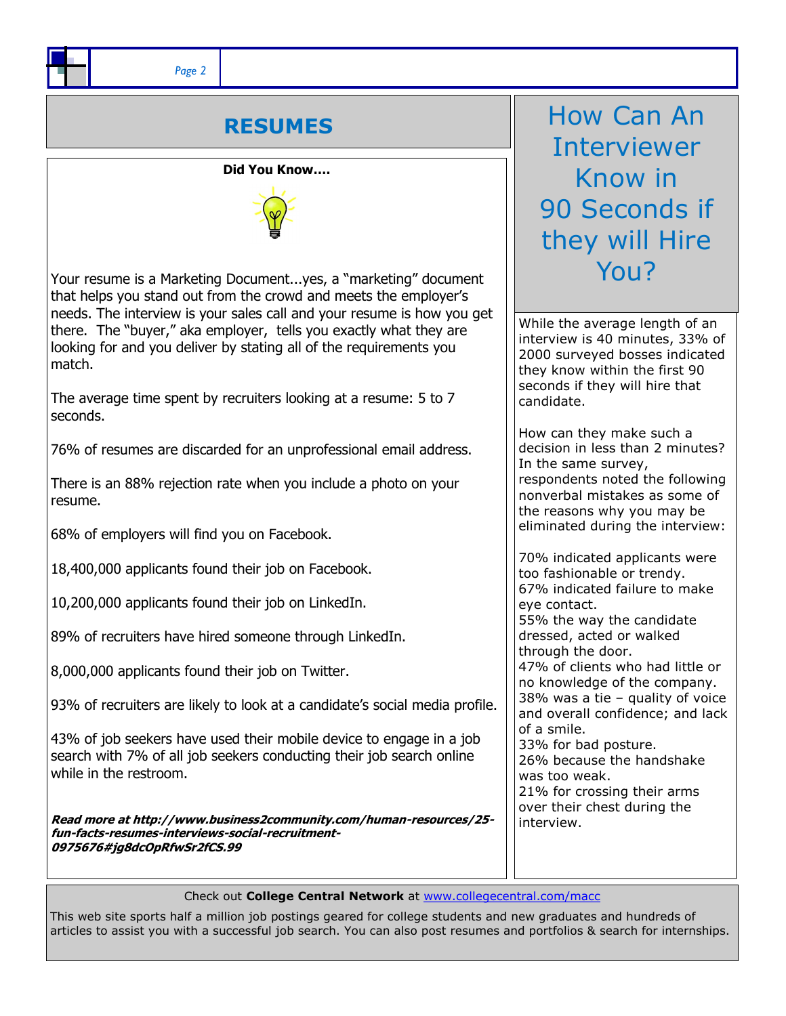*Page 2*

# **RESUMES**

## **Did You Know….**



Your resume is a Marketing Document...yes, a "marketing" document that helps you stand out from the crowd and meets the employer's needs. The interview is your sales call and your resume is how you get there. The "buyer," aka employer, tells you exactly what they are looking for and you deliver by stating all of the requirements you match.

The average time spent by recruiters looking at a resume: 5 to 7 seconds.

76% of resumes are discarded for an unprofessional email address.

There is an 88% rejection rate when you include a photo on your resume.

68% of employers will find you on Facebook.

18,400,000 applicants found their job on Facebook.

10,200,000 applicants found their job on LinkedIn.

89% of recruiters have hired someone through LinkedIn.

8,000,000 applicants found their job on Twitter.

93% of recruiters are likely to look at a candidate's social media profile.

43% of job seekers have used their mobile device to engage in a job search with 7% of all job seekers conducting their job search online while in the restroom.

**Read more at http://www.business2community.com/human-resources/25 fun-facts-resumes-interviews-social-recruitment-0975676#jg8dcOpRfwSr2fCS.99** 

How Can An Interviewer Know in 90 Seconds if they will Hire You?

While the average length of an interview is 40 minutes, 33% of 2000 surveyed bosses indicated they know within the first 90 seconds if they will hire that candidate.

How can they make such a decision in less than 2 minutes? In the same survey, respondents noted the following nonverbal mistakes as some of the reasons why you may be eliminated during the interview:

70% indicated applicants were too fashionable or trendy. 67% indicated failure to make eye contact. 55% the way the candidate dressed, acted or walked through the door. 47% of clients who had little or no knowledge of the company. 38% was a tie – quality of voice and overall confidence; and lack of a smile. 33% for bad posture. 26% because the handshake was too weak. 21% for crossing their arms over their chest during the interview.

Check out **College Central Network** at [www.collegecentral.com/macc](http://www.collegecentral.com/macc) 

This web site sports half a million job postings geared for college students and new graduates and hundreds of articles to assist you with a successful job search. You can also post resumes and portfolios & search for internships.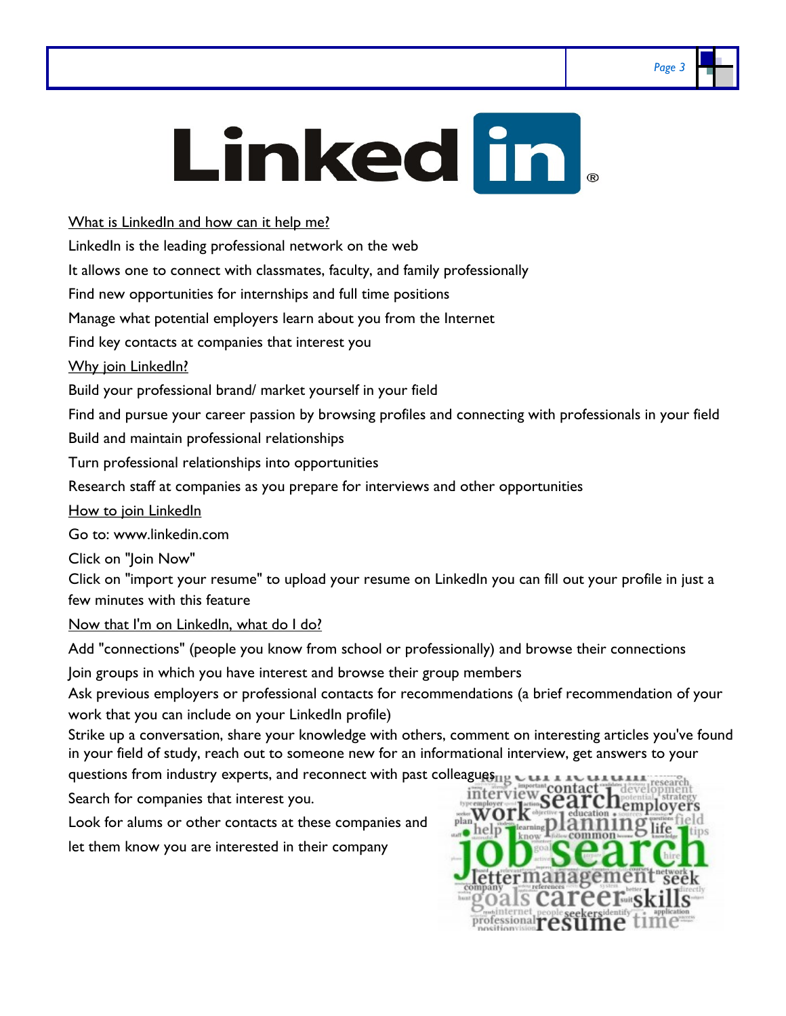# *Page 3*

# **Linked in**

What is LinkedIn and how can it help me?

LinkedIn is the leading professional network on the web

It allows one to connect with classmates, faculty, and family professionally

Find new opportunities for internships and full time positions

Manage what potential employers learn about you from the Internet

Find key contacts at companies that interest you

Why join LinkedIn?

Build your professional brand/ market yourself in your field

Find and pursue your career passion by browsing profiles and connecting with professionals in your field

Build and maintain professional relationships

Turn professional relationships into opportunities

Research staff at companies as you prepare for interviews and other opportunities

How to join LinkedIn

Go to: www.linkedin.com

Click on "Join Now"

Click on "import your resume" to upload your resume on LinkedIn you can fill out your profile in just a few minutes with this feature

Now that I'm on LinkedIn, what do I do?

Add "connections" (people you know from school or professionally) and browse their connections

Join groups in which you have interest and browse their group members

Ask previous employers or professional contacts for recommendations (a brief recommendation of your work that you can include on your LinkedIn profile)

Strike up a conversation, share your knowledge with others, comment on interesting articles you've found in your field of study, reach out to someone new for an informational interview, get answers to your

questions from industry experts, and reconnect with past colleagues interview contact development<br>Search for companies that interest you.

Search for companies that interest you.

Look for alums or other contacts at these companies and let them know you are interested in their company